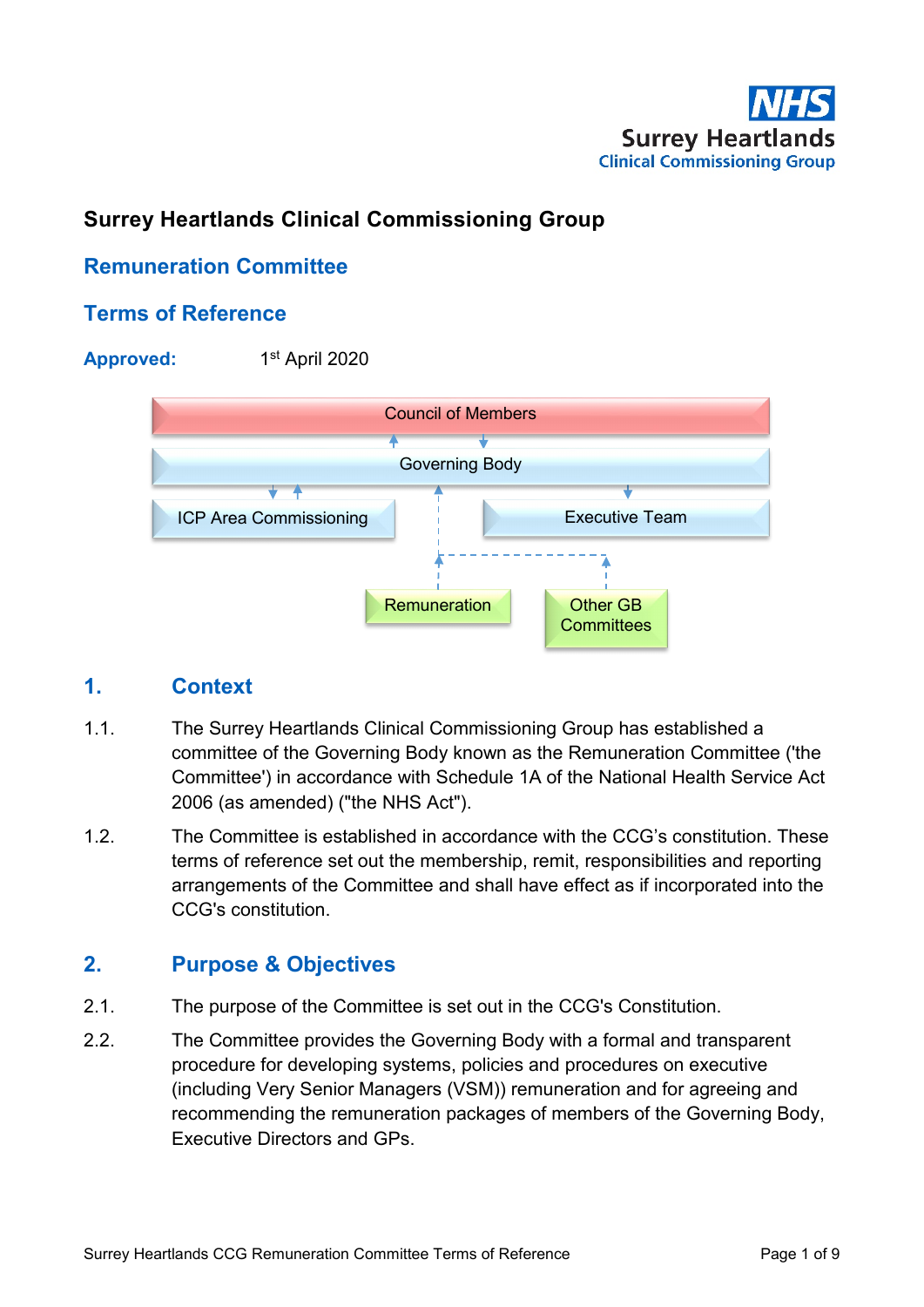

# **Surrey Heartlands Clinical Commissioning Group**

# **Remuneration Committee**

## **Terms of Reference**

**Approved:** 1st April 2020



## **1. Context**

- 1.1. The Surrey Heartlands Clinical Commissioning Group has established a committee of the Governing Body known as the Remuneration Committee ('the Committee') in accordance with Schedule 1A of the National Health Service Act 2006 (as amended) ("the NHS Act").
- 1.2. The Committee is established in accordance with the CCG's constitution. These terms of reference set out the membership, remit, responsibilities and reporting arrangements of the Committee and shall have effect as if incorporated into the CCG's constitution.

## **2. Purpose & Objectives**

- 2.1. The purpose of the Committee is set out in the CCG's Constitution.
- 2.2. The Committee provides the Governing Body with a formal and transparent procedure for developing systems, policies and procedures on executive (including Very Senior Managers (VSM)) remuneration and for agreeing and recommending the remuneration packages of members of the Governing Body, Executive Directors and GPs.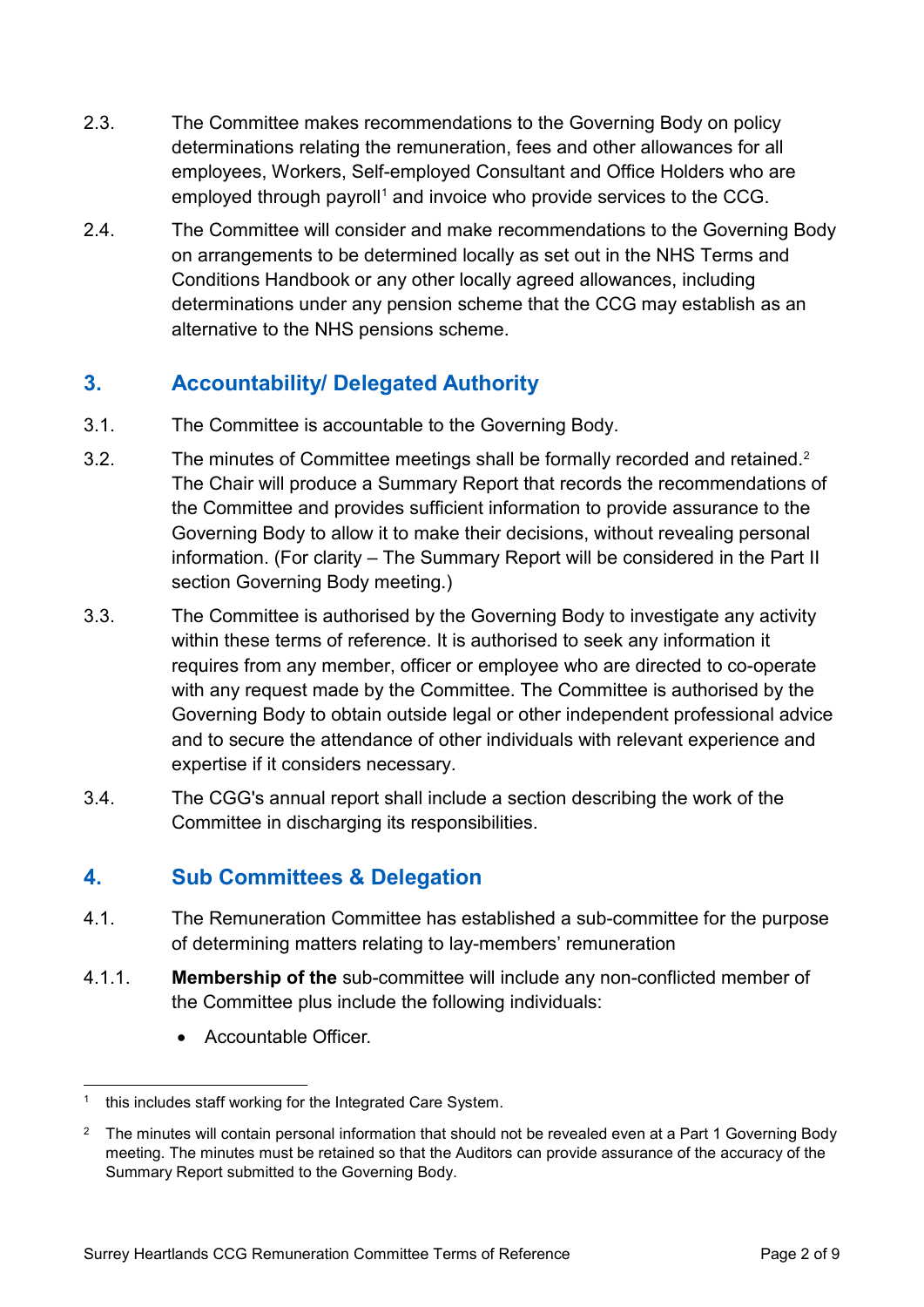- 2.3. The Committee makes recommendations to the Governing Body on policy determinations relating the remuneration, fees and other allowances for all employees, Workers, Self-employed Consultant and Office Holders who are employed through payroll<sup>[1](#page-1-0)</sup> and invoice who provide services to the CCG.
- 2.4. The Committee will consider and make recommendations to the Governing Body on arrangements to be determined locally as set out in the NHS Terms and Conditions Handbook or any other locally agreed allowances, including determinations under any pension scheme that the CCG may establish as an alternative to the NHS pensions scheme.

# **3. Accountability/ Delegated Authority**

- 3.1. The Committee is accountable to the Governing Body.
- 3.[2](#page-1-1). The minutes of Committee meetings shall be formally recorded and retained.<sup>2</sup> The Chair will produce a Summary Report that records the recommendations of the Committee and provides sufficient information to provide assurance to the Governing Body to allow it to make their decisions, without revealing personal information. (For clarity – The Summary Report will be considered in the Part II section Governing Body meeting.)
- 3.3. The Committee is authorised by the Governing Body to investigate any activity within these terms of reference. It is authorised to seek any information it requires from any member, officer or employee who are directed to co-operate with any request made by the Committee. The Committee is authorised by the Governing Body to obtain outside legal or other independent professional advice and to secure the attendance of other individuals with relevant experience and expertise if it considers necessary.
- 3.4. The CGG's annual report shall include a section describing the work of the Committee in discharging its responsibilities.

# **4. Sub Committees & Delegation**

- 4.1. The Remuneration Committee has established a sub-committee for the purpose of determining matters relating to lay-members' remuneration
- 4.1.1. **Membership of the** sub-committee will include any non-conflicted member of the Committee plus include the following individuals:
	- Accountable Officer.

<span id="page-1-0"></span>this includes staff working for the Integrated Care System.

<span id="page-1-1"></span><sup>&</sup>lt;sup>2</sup> The minutes will contain personal information that should not be revealed even at a Part 1 Governing Body meeting. The minutes must be retained so that the Auditors can provide assurance of the accuracy of the Summary Report submitted to the Governing Body.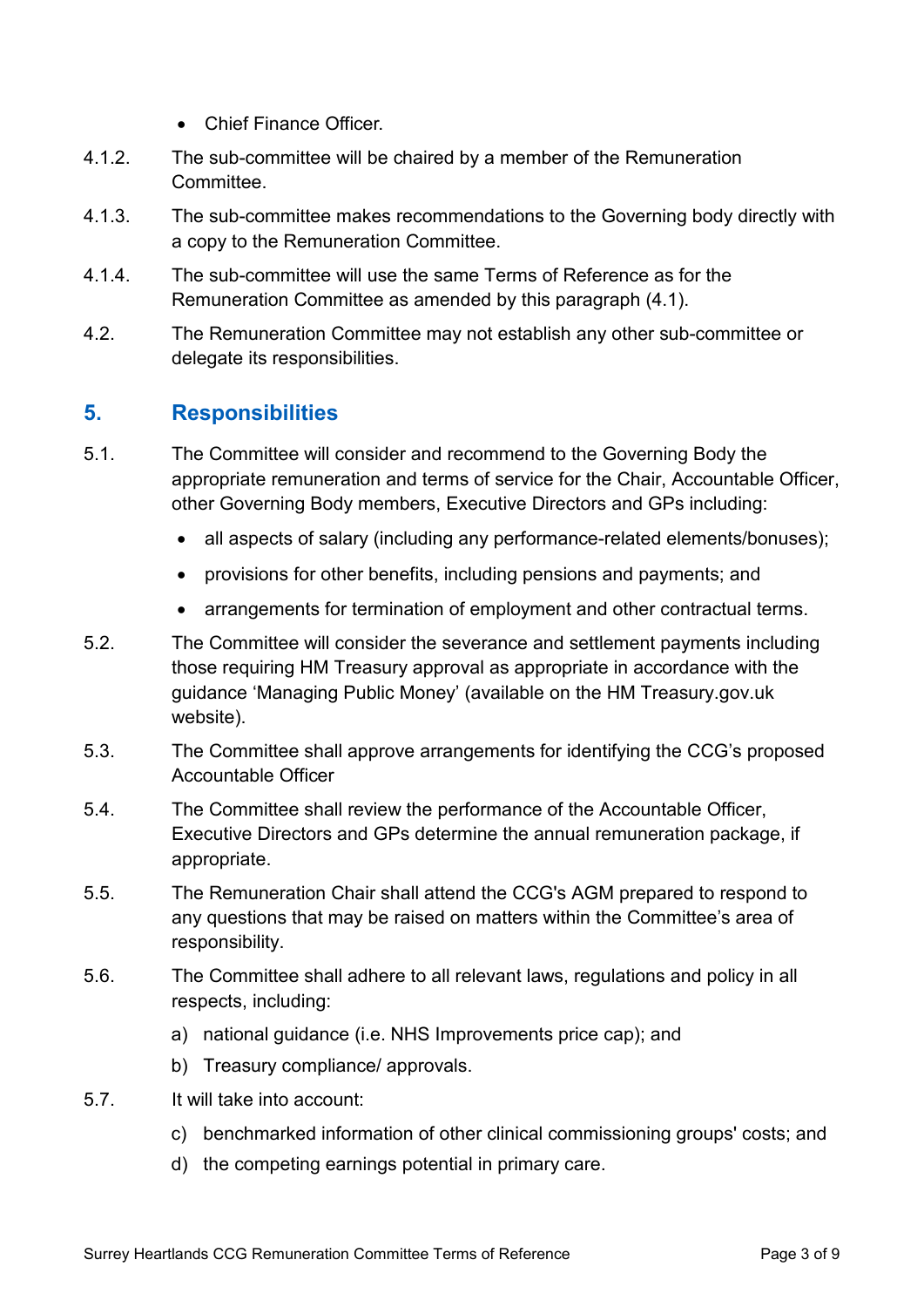- Chief Finance Officer
- 4.1.2. The sub-committee will be chaired by a member of the Remuneration **Committee.**
- 4.1.3. The sub-committee makes recommendations to the Governing body directly with a copy to the Remuneration Committee.
- 4.1.4. The sub-committee will use the same Terms of Reference as for the Remuneration Committee as amended by this paragraph (4.1).
- 4.2. The Remuneration Committee may not establish any other sub-committee or delegate its responsibilities.

## **5. Responsibilities**

- 5.1. The Committee will consider and recommend to the Governing Body the appropriate remuneration and terms of service for the Chair, Accountable Officer, other Governing Body members, Executive Directors and GPs including:
	- all aspects of salary (including any performance-related elements/bonuses);
	- provisions for other benefits, including pensions and payments; and
	- arrangements for termination of employment and other contractual terms.
- 5.2. The Committee will consider the severance and settlement payments including those requiring HM Treasury approval as appropriate in accordance with the guidance 'Managing Public Money' (available on the HM Treasury.gov.uk website).
- 5.3. The Committee shall approve arrangements for identifying the CCG's proposed Accountable Officer
- 5.4. The Committee shall review the performance of the Accountable Officer, Executive Directors and GPs determine the annual remuneration package, if appropriate.
- 5.5. The Remuneration Chair shall attend the CCG's AGM prepared to respond to any questions that may be raised on matters within the Committee's area of responsibility.
- 5.6. The Committee shall adhere to all relevant laws, regulations and policy in all respects, including:
	- a) national guidance (i.e. NHS Improvements price cap); and
	- b) Treasury compliance/ approvals.
- 5.7. It will take into account:
	- c) benchmarked information of other clinical commissioning groups' costs; and
	- d) the competing earnings potential in primary care.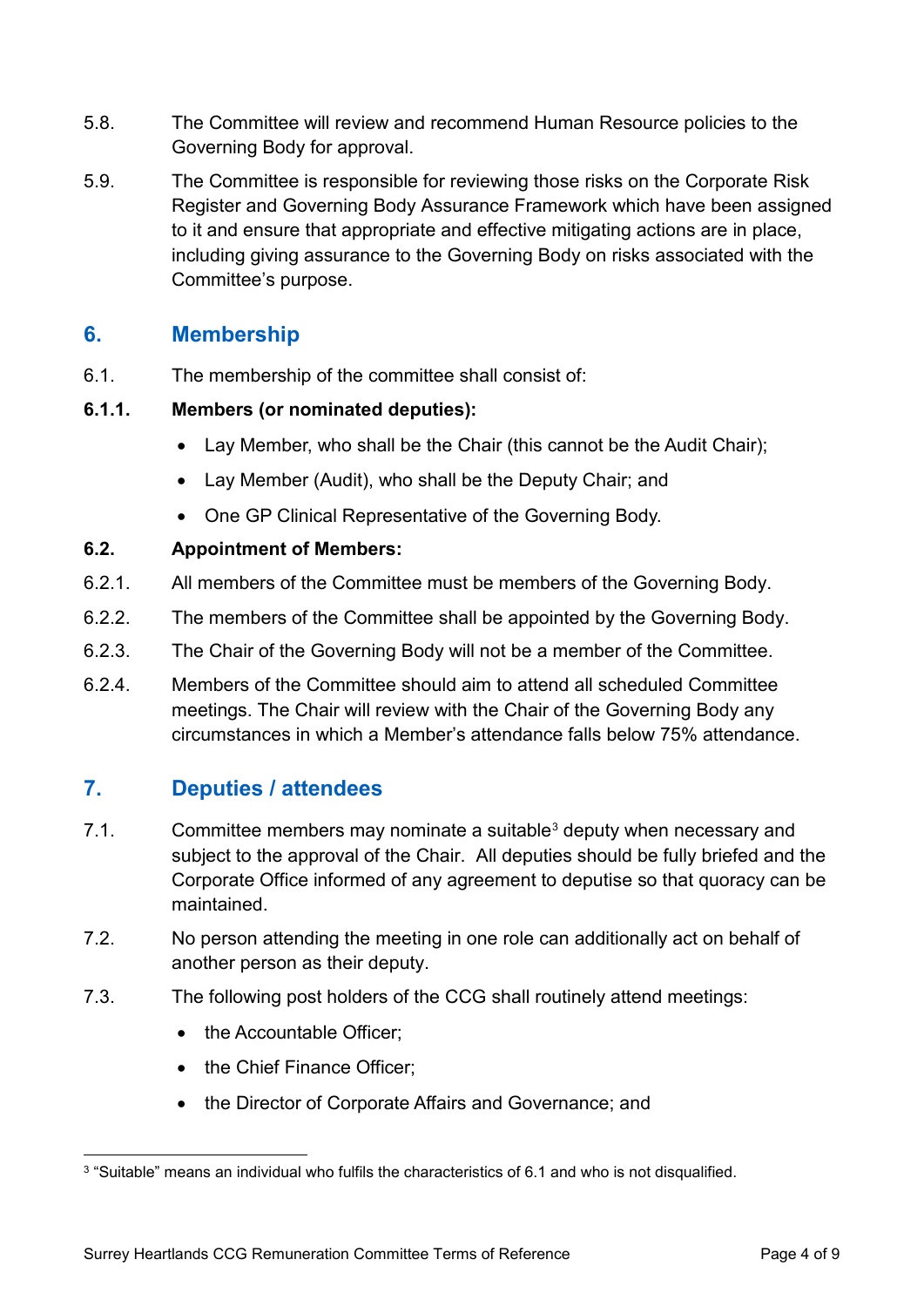- 5.8. The Committee will review and recommend Human Resource policies to the Governing Body for approval.
- 5.9. The Committee is responsible for reviewing those risks on the Corporate Risk Register and Governing Body Assurance Framework which have been assigned to it and ensure that appropriate and effective mitigating actions are in place, including giving assurance to the Governing Body on risks associated with the Committee's purpose.

## **6. Membership**

6.1. The membership of the committee shall consist of:

#### **6.1.1. Members (or nominated deputies):**

- Lay Member, who shall be the Chair (this cannot be the Audit Chair);
- Lay Member (Audit), who shall be the Deputy Chair; and
- One GP Clinical Representative of the Governing Body.

#### **6.2. Appointment of Members:**

- 6.2.1. All members of the Committee must be members of the Governing Body.
- 6.2.2. The members of the Committee shall be appointed by the Governing Body.
- 6.2.3. The Chair of the Governing Body will not be a member of the Committee.
- 6.2.4. Members of the Committee should aim to attend all scheduled Committee meetings. The Chair will review with the Chair of the Governing Body any circumstances in which a Member's attendance falls below 75% attendance.

# **7. Deputies / attendees**

- 7.1. Committee members may nominate a suitable<sup>[3](#page-3-0)</sup> deputy when necessary and subject to the approval of the Chair. All deputies should be fully briefed and the Corporate Office informed of any agreement to deputise so that quoracy can be maintained.
- 7.2. No person attending the meeting in one role can additionally act on behalf of another person as their deputy.
- 7.3. The following post holders of the CCG shall routinely attend meetings:
	- the Accountable Officer:
	- the Chief Finance Officer:
	- the Director of Corporate Affairs and Governance; and

<span id="page-3-0"></span> <sup>3</sup> "Suitable" means an individual who fulfils the characteristics of 6.1 and who is not disqualified.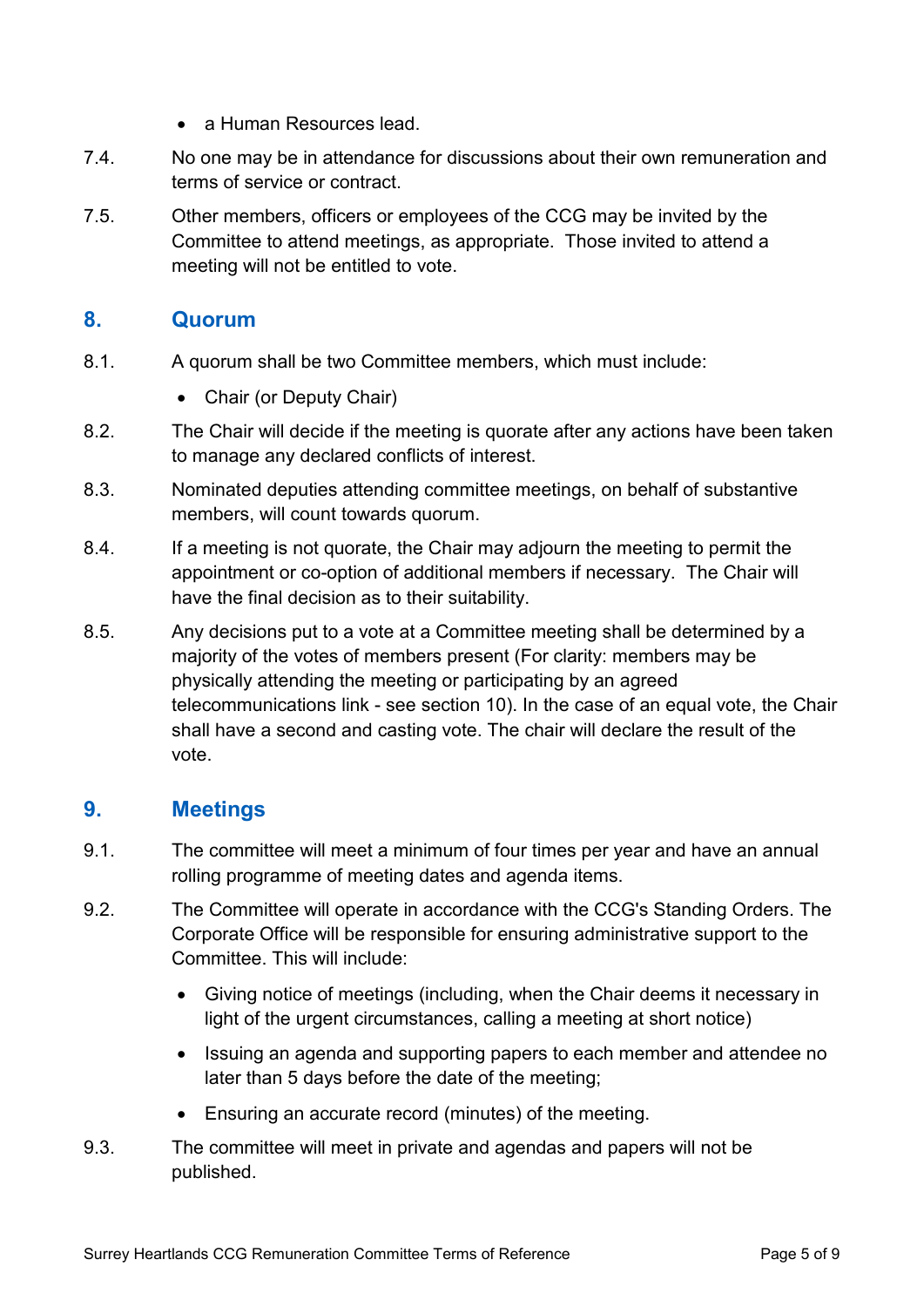- a Human Resources lead.
- 7.4. No one may be in attendance for discussions about their own remuneration and terms of service or contract.
- 7.5. Other members, officers or employees of the CCG may be invited by the Committee to attend meetings, as appropriate. Those invited to attend a meeting will not be entitled to vote.

## **8. Quorum**

- 8.1. A quorum shall be two Committee members, which must include:
	- Chair (or Deputy Chair)
- 8.2. The Chair will decide if the meeting is quorate after any actions have been taken to manage any declared conflicts of interest.
- 8.3. Nominated deputies attending committee meetings, on behalf of substantive members, will count towards quorum.
- 8.4. If a meeting is not quorate, the Chair may adjourn the meeting to permit the appointment or co-option of additional members if necessary. The Chair will have the final decision as to their suitability.
- 8.5. Any decisions put to a vote at a Committee meeting shall be determined by a majority of the votes of members present (For clarity: members may be physically attending the meeting or participating by an agreed telecommunications link - see section 10). In the case of an equal vote, the Chair shall have a second and casting vote. The chair will declare the result of the vote.

## **9. Meetings**

- 9.1. The committee will meet a minimum of four times per year and have an annual rolling programme of meeting dates and agenda items.
- 9.2. The Committee will operate in accordance with the CCG's Standing Orders. The Corporate Office will be responsible for ensuring administrative support to the Committee. This will include:
	- Giving notice of meetings (including, when the Chair deems it necessary in light of the urgent circumstances, calling a meeting at short notice)
	- Issuing an agenda and supporting papers to each member and attendee no later than 5 days before the date of the meeting;
	- Ensuring an accurate record (minutes) of the meeting.
- 9.3. The committee will meet in private and agendas and papers will not be published.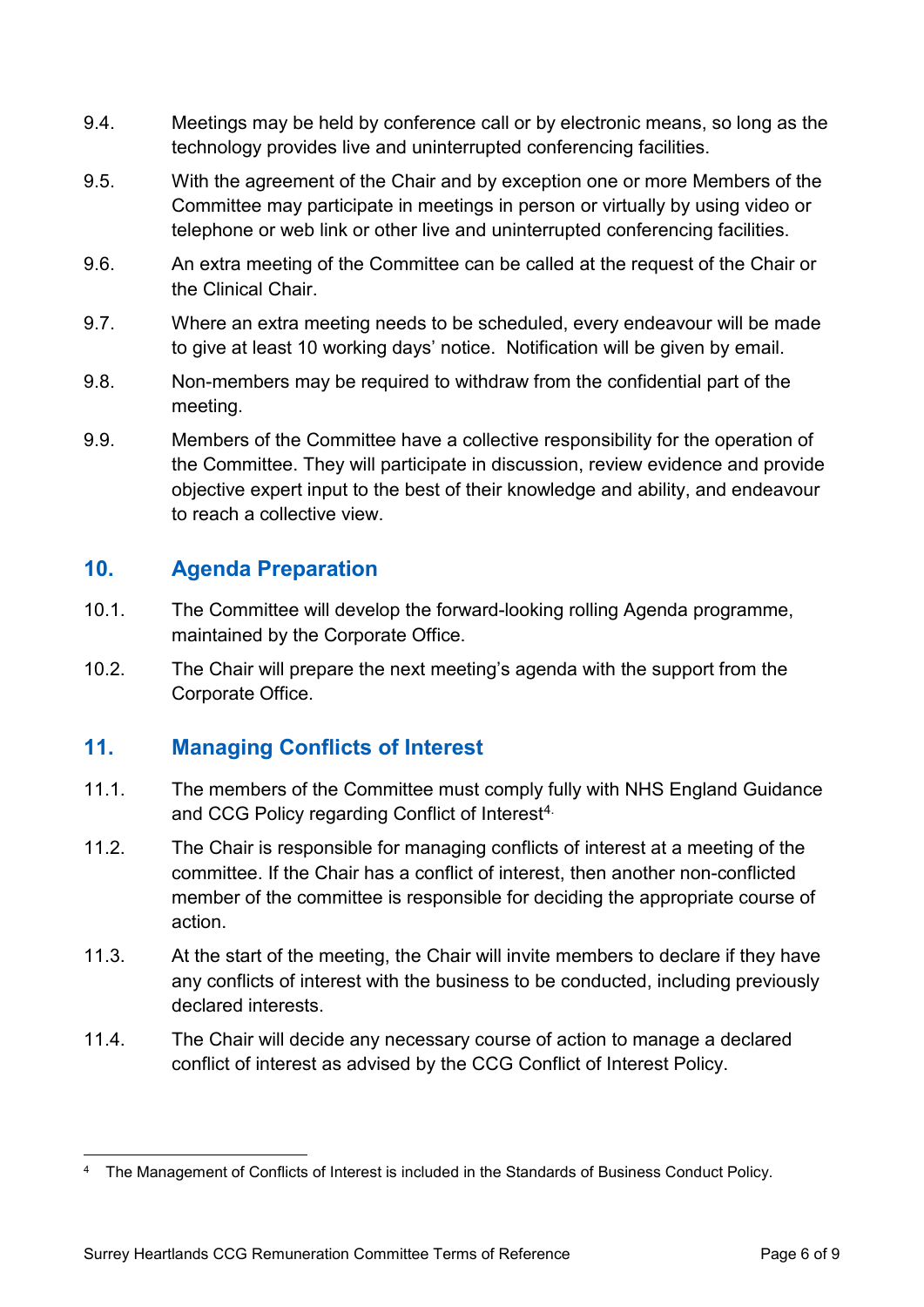- 9.4. Meetings may be held by conference call or by electronic means, so long as the technology provides live and uninterrupted conferencing facilities.
- 9.5. With the agreement of the Chair and by exception one or more Members of the Committee may participate in meetings in person or virtually by using video or telephone or web link or other live and uninterrupted conferencing facilities.
- 9.6. An extra meeting of the Committee can be called at the request of the Chair or the Clinical Chair.
- 9.7. Where an extra meeting needs to be scheduled, every endeavour will be made to give at least 10 working days' notice. Notification will be given by email.
- 9.8. Non-members may be required to withdraw from the confidential part of the meeting.
- 9.9. Members of the Committee have a collective responsibility for the operation of the Committee. They will participate in discussion, review evidence and provide objective expert input to the best of their knowledge and ability, and endeavour to reach a collective view.

# **10. Agenda Preparation**

- 10.1. The Committee will develop the forward-looking rolling Agenda programme, maintained by the Corporate Office.
- 10.2. The Chair will prepare the next meeting's agenda with the support from the Corporate Office.

# **11. Managing Conflicts of Interest**

- 11.1. The members of the Committee must comply fully with NHS England Guidance and CCG Policy regarding Conflict of Interest<sup>[4](#page-5-0).</sup>
- 11.2. The Chair is responsible for managing conflicts of interest at a meeting of the committee. If the Chair has a conflict of interest, then another non-conflicted member of the committee is responsible for deciding the appropriate course of action.
- 11.3. At the start of the meeting, the Chair will invite members to declare if they have any conflicts of interest with the business to be conducted, including previously declared interests.
- 11.4. The Chair will decide any necessary course of action to manage a declared conflict of interest as advised by the CCG Conflict of Interest Policy.

<span id="page-5-0"></span> <sup>4</sup> The Management of Conflicts of Interest is included in the Standards of Business Conduct Policy.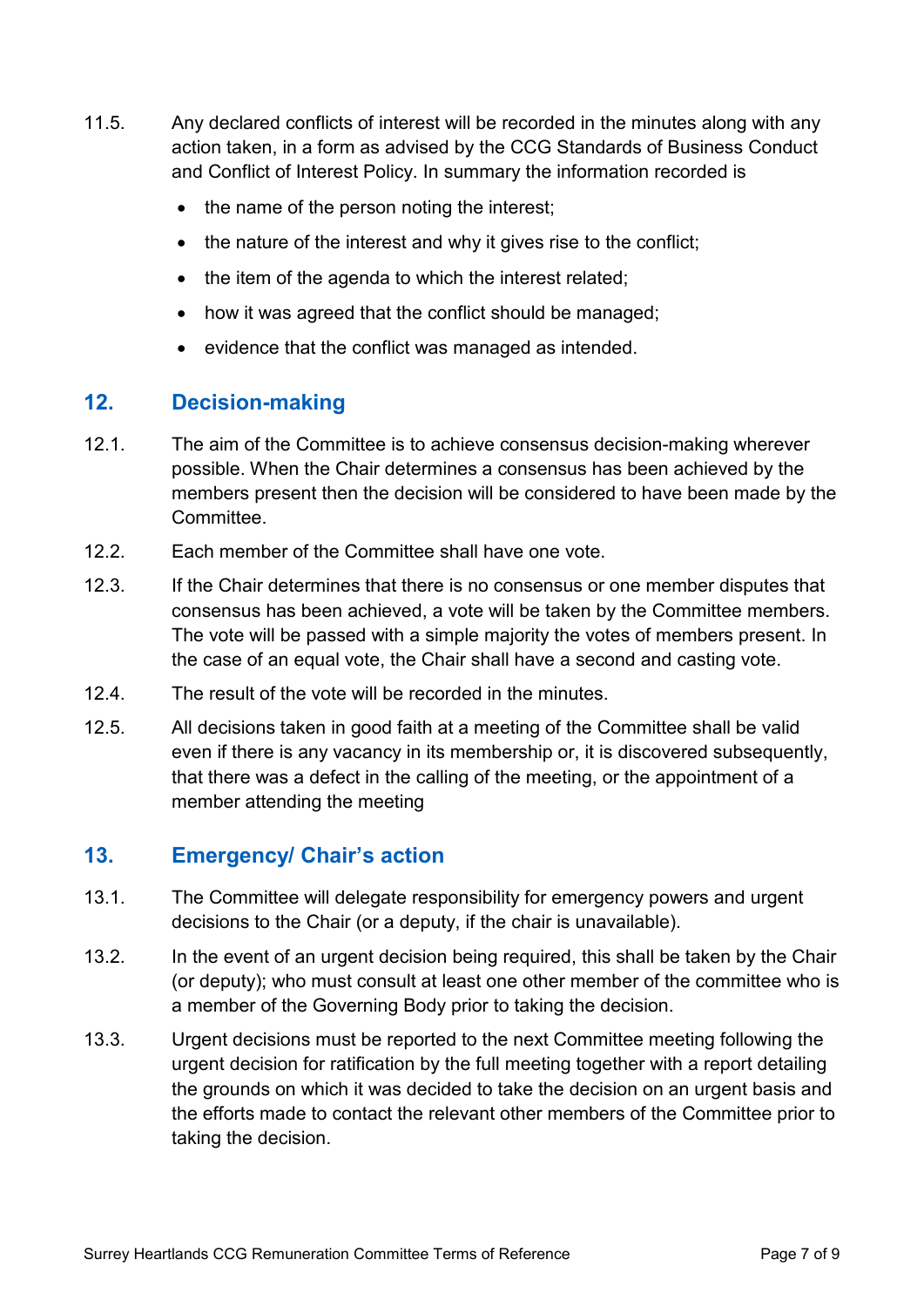- 11.5. Any declared conflicts of interest will be recorded in the minutes along with any action taken, in a form as advised by the CCG Standards of Business Conduct and Conflict of Interest Policy. In summary the information recorded is
	- the name of the person noting the interest;
	- the nature of the interest and why it gives rise to the conflict;
	- the item of the agenda to which the interest related;
	- how it was agreed that the conflict should be managed;
	- evidence that the conflict was managed as intended.

## **12. Decision-making**

- 12.1. The aim of the Committee is to achieve consensus decision-making wherever possible. When the Chair determines a consensus has been achieved by the members present then the decision will be considered to have been made by the Committee.
- 12.2. Each member of the Committee shall have one vote.
- 12.3. If the Chair determines that there is no consensus or one member disputes that consensus has been achieved, a vote will be taken by the Committee members. The vote will be passed with a simple majority the votes of members present. In the case of an equal vote, the Chair shall have a second and casting vote.
- 12.4. The result of the vote will be recorded in the minutes.
- 12.5. All decisions taken in good faith at a meeting of the Committee shall be valid even if there is any vacancy in its membership or, it is discovered subsequently, that there was a defect in the calling of the meeting, or the appointment of a member attending the meeting

## **13. Emergency/ Chair's action**

- 13.1. The Committee will delegate responsibility for emergency powers and urgent decisions to the Chair (or a deputy, if the chair is unavailable).
- 13.2. In the event of an urgent decision being required, this shall be taken by the Chair (or deputy); who must consult at least one other member of the committee who is a member of the Governing Body prior to taking the decision.
- 13.3. Urgent decisions must be reported to the next Committee meeting following the urgent decision for ratification by the full meeting together with a report detailing the grounds on which it was decided to take the decision on an urgent basis and the efforts made to contact the relevant other members of the Committee prior to taking the decision.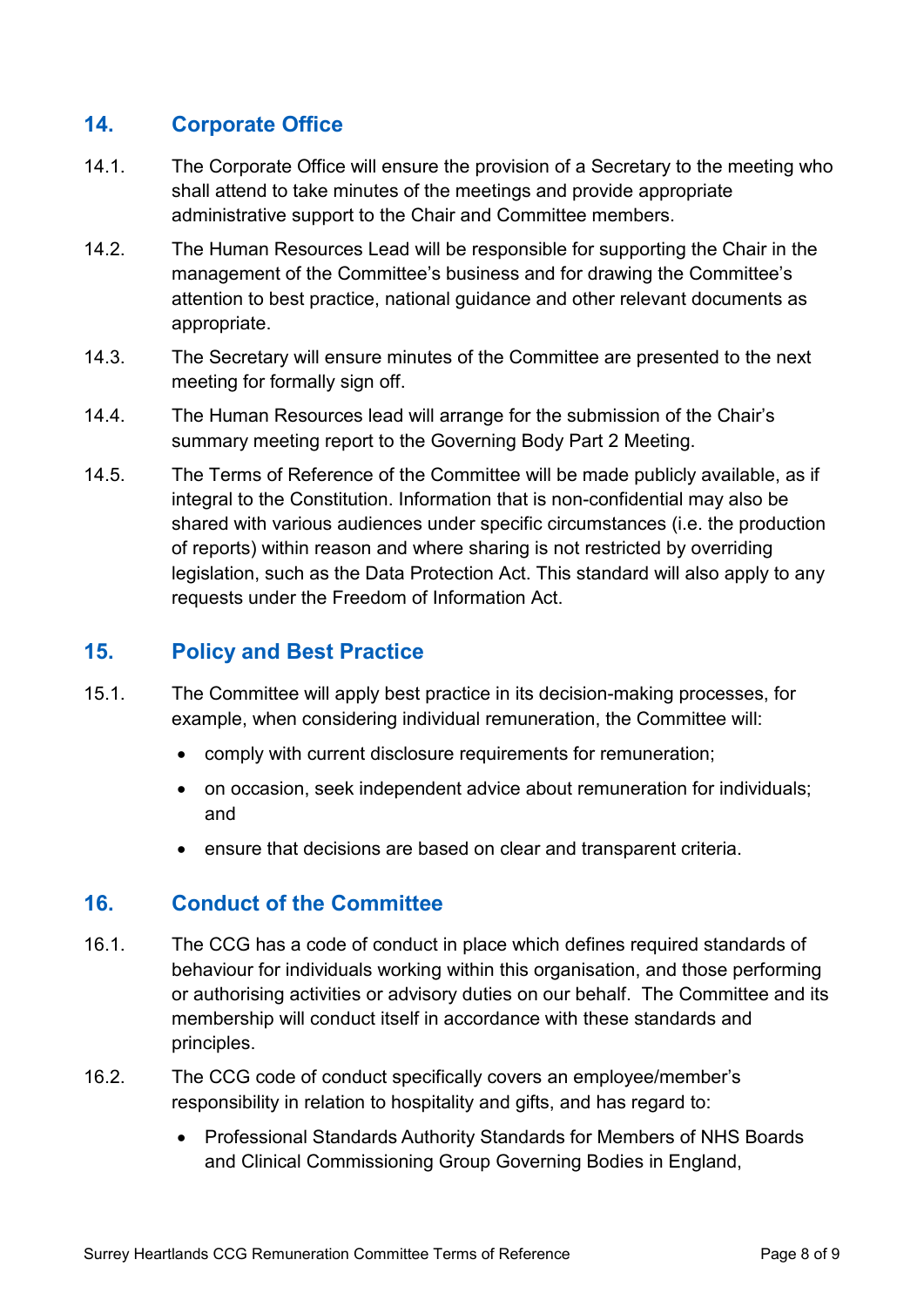## **14. Corporate Office**

- 14.1. The Corporate Office will ensure the provision of a Secretary to the meeting who shall attend to take minutes of the meetings and provide appropriate administrative support to the Chair and Committee members.
- 14.2. The Human Resources Lead will be responsible for supporting the Chair in the management of the Committee's business and for drawing the Committee's attention to best practice, national guidance and other relevant documents as appropriate.
- 14.3. The Secretary will ensure minutes of the Committee are presented to the next meeting for formally sign off.
- 14.4. The Human Resources lead will arrange for the submission of the Chair's summary meeting report to the Governing Body Part 2 Meeting.
- 14.5. The Terms of Reference of the Committee will be made publicly available, as if integral to the Constitution. Information that is non-confidential may also be shared with various audiences under specific circumstances (i.e. the production of reports) within reason and where sharing is not restricted by overriding legislation, such as the Data Protection Act. This standard will also apply to any requests under the Freedom of Information Act.

# **15. Policy and Best Practice**

- 15.1. The Committee will apply best practice in its decision-making processes, for example, when considering individual remuneration, the Committee will:
	- comply with current disclosure requirements for remuneration;
	- on occasion, seek independent advice about remuneration for individuals; and
	- ensure that decisions are based on clear and transparent criteria.

## **16. Conduct of the Committee**

- 16.1. The CCG has a code of conduct in place which defines required standards of behaviour for individuals working within this organisation, and those performing or authorising activities or advisory duties on our behalf. The Committee and its membership will conduct itself in accordance with these standards and principles.
- 16.2. The CCG code of conduct specifically covers an employee/member's responsibility in relation to hospitality and gifts, and has regard to:
	- Professional Standards Authority Standards for Members of NHS Boards and Clinical Commissioning Group Governing Bodies in England,